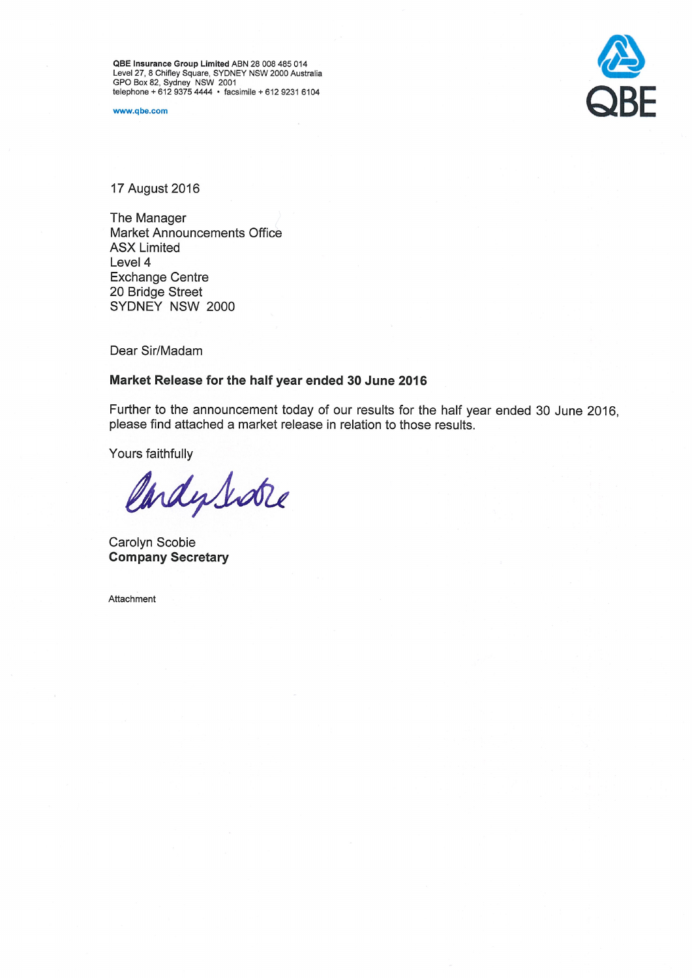QBE Insurance Group Limited ABN 28 008 485 014<br>Level 27, 8 Chifley Square, SYDNEY NSW 2000 Australia<br>GPO Box 82, Sydney NSW 2001<br>telephone + 612 9375 4444 • facsimile + 612 9231 6104

www.qbe.com



17 August 2016

The Manager **Market Announcements Office ASX Limited** Level 4 **Exchange Centre** 20 Bridge Street SYDNEY NSW 2000

Dear Sir/Madam

# Market Release for the half year ended 30 June 2016

Further to the announcement today of our results for the half year ended 30 June 2016, please find attached a market release in relation to those results.

Yours faithfully

CardySidre

Carolyn Scobie **Company Secretary** 

Attachment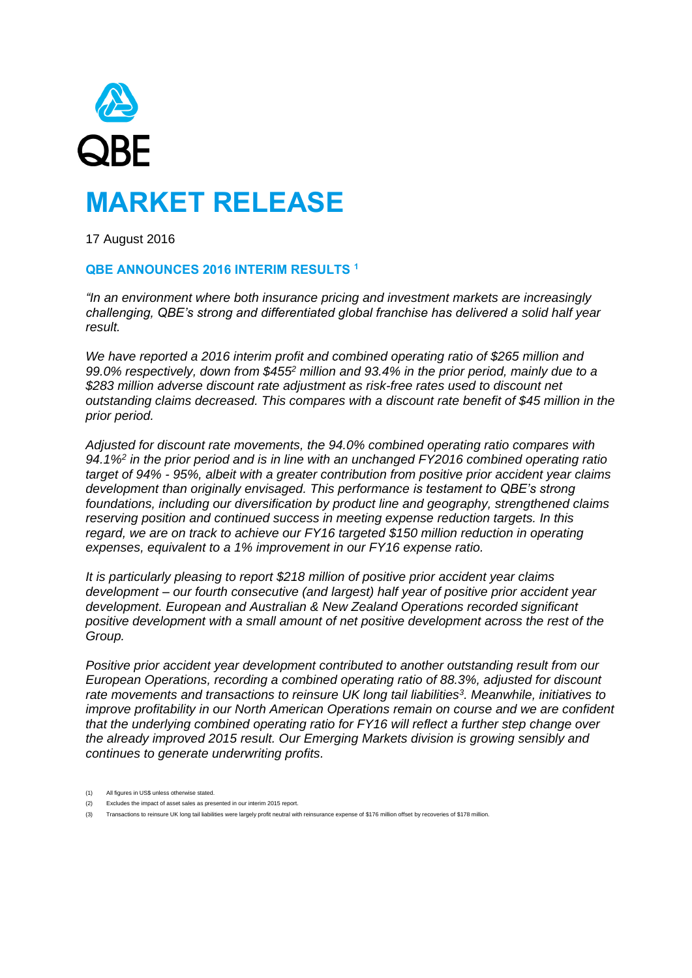

17 August 2016

# **QBE ANNOUNCES 2016 INTERIM RESULTS <sup>1</sup>**

*"In an environment where both insurance pricing and investment markets are increasingly challenging, QBE's strong and differentiated global franchise has delivered a solid half year result.*

*We have reported a 2016 interim profit and combined operating ratio of \$265 million and 99.0% respectively, down from \$455<sup>2</sup> million and 93.4% in the prior period, mainly due to a \$283 million adverse discount rate adjustment as risk-free rates used to discount net outstanding claims decreased. This compares with a discount rate benefit of \$45 million in the prior period.*

*Adjusted for discount rate movements, the 94.0% combined operating ratio compares with 94.1%<sup>2</sup> in the prior period and is in line with an unchanged FY2016 combined operating ratio target of 94% - 95%, albeit with a greater contribution from positive prior accident year claims development than originally envisaged. This performance is testament to QBE's strong foundations, including our diversification by product line and geography, strengthened claims reserving position and continued success in meeting expense reduction targets. In this regard, we are on track to achieve our FY16 targeted \$150 million reduction in operating expenses, equivalent to a 1% improvement in our FY16 expense ratio.*

*It is particularly pleasing to report \$218 million of positive prior accident year claims development – our fourth consecutive (and largest) half year of positive prior accident year development. European and Australian & New Zealand Operations recorded significant positive development with a small amount of net positive development across the rest of the Group.*

*Positive prior accident year development contributed to another outstanding result from our European Operations, recording a combined operating ratio of 88.3%, adjusted for discount rate movements and transactions to reinsure UK long tail liabilities<sup>3</sup> . Meanwhile, initiatives to improve profitability in our North American Operations remain on course and we are confident that the underlying combined operating ratio for FY16 will reflect a further step change over the already improved 2015 result. Our Emerging Markets division is growing sensibly and continues to generate underwriting profits.*

- (1) All figures in US\$ unless otherwise stated.
- (2) Excludes the impact of asset sales as presented in our interim 2015 report.
- (3) Transactions to reinsure UK long tail liabilities were largely profit neutral with reinsurance expense of \$176 million offset by recoveries of \$178 million.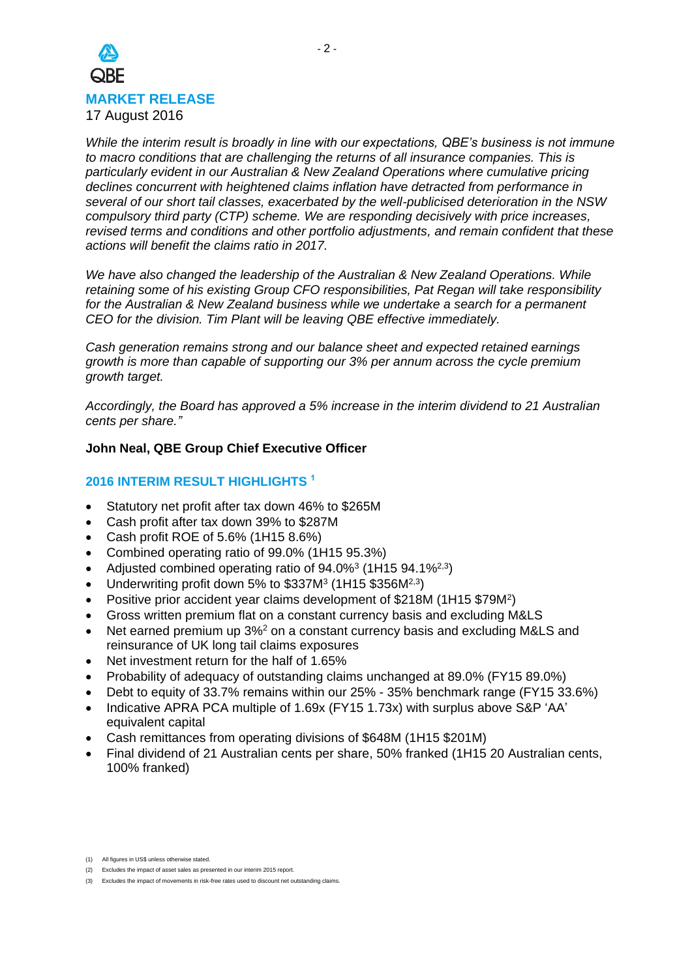

*While the interim result is broadly in line with our expectations, QBE's business is not immune to macro conditions that are challenging the returns of all insurance companies. This is particularly evident in our Australian & New Zealand Operations where cumulative pricing declines concurrent with heightened claims inflation have detracted from performance in several of our short tail classes, exacerbated by the well-publicised deterioration in the NSW compulsory third party (CTP) scheme. We are responding decisively with price increases, revised terms and conditions and other portfolio adjustments, and remain confident that these actions will benefit the claims ratio in 2017.*

*We have also changed the leadership of the Australian & New Zealand Operations. While retaining some of his existing Group CFO responsibilities, Pat Regan will take responsibility for the Australian & New Zealand business while we undertake a search for a permanent CEO for the division. Tim Plant will be leaving QBE effective immediately.*

*Cash generation remains strong and our balance sheet and expected retained earnings growth is more than capable of supporting our 3% per annum across the cycle premium growth target.*

*Accordingly, the Board has approved a 5% increase in the interim dividend to 21 Australian cents per share."*

# **John Neal, QBE Group Chief Executive Officer**

# **2016 INTERIM RESULT HIGHLIGHTS <sup>1</sup>**

- Statutory net profit after tax down 46% to \$265M
- Cash profit after tax down 39% to \$287M
- Cash profit ROE of 5.6% (1H15 8.6%)
- Combined operating ratio of 99.0% (1H15 95.3%)
- Adjusted combined operating ratio of  $94.0\%$ <sup>3</sup> (1H15  $94.1\%$ <sup>2,3</sup>)
- Underwriting profit down 5% to \$337M<sup>3</sup> (1H15 \$356M<sup>2,3</sup>)
- Positive prior accident year claims development of \$218M (1H15 \$79M<sup>2</sup>)
- Gross written premium flat on a constant currency basis and excluding M&LS
- Net earned premium up 3%<sup>2</sup> on a constant currency basis and excluding M&LS and reinsurance of UK long tail claims exposures
- Net investment return for the half of 1.65%
- Probability of adequacy of outstanding claims unchanged at 89.0% (FY15 89.0%)
- Debt to equity of 33.7% remains within our 25% 35% benchmark range (FY15 33.6%)
- Indicative APRA PCA multiple of 1.69x (FY15 1.73x) with surplus above S&P 'AA' equivalent capital
- Cash remittances from operating divisions of \$648M (1H15 \$201M)
- Final dividend of 21 Australian cents per share, 50% franked (1H15 20 Australian cents, 100% franked)

<sup>(1)</sup> All figures in US\$ unless otherwise stated.

<sup>(2)</sup> Excludes the impact of asset sales as presented in our interim 2015 report.

<sup>(3)</sup> Excludes the impact of movements in risk-free rates used to discount net outstanding claims.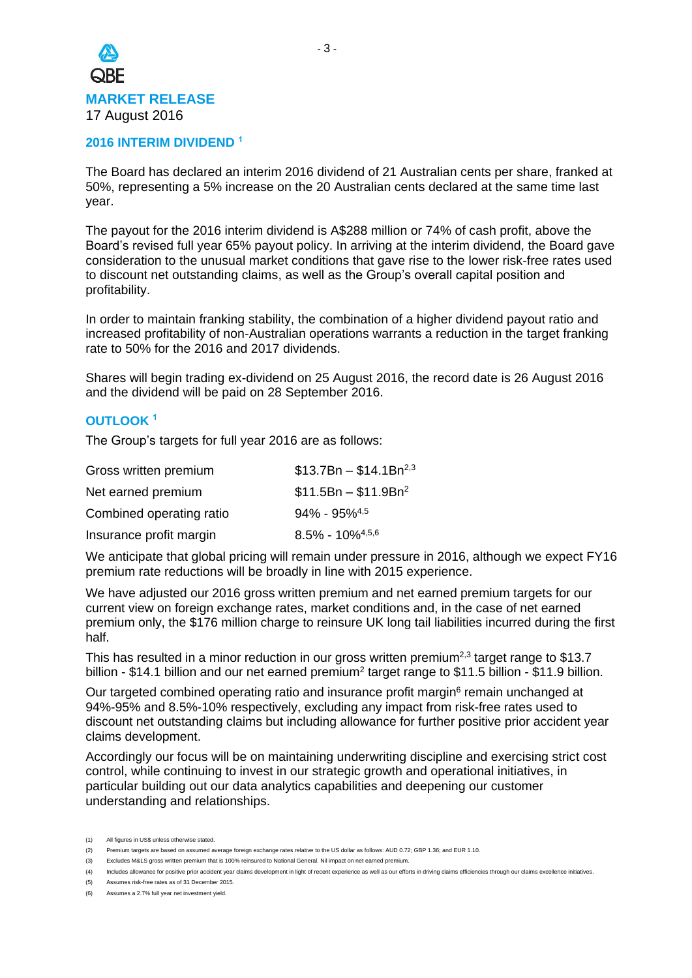

## **2016 INTERIM DIVIDEND <sup>1</sup>**

The Board has declared an interim 2016 dividend of 21 Australian cents per share, franked at 50%, representing a 5% increase on the 20 Australian cents declared at the same time last year.

The payout for the 2016 interim dividend is A\$288 million or 74% of cash profit, above the Board's revised full year 65% payout policy. In arriving at the interim dividend, the Board gave consideration to the unusual market conditions that gave rise to the lower risk-free rates used to discount net outstanding claims, as well as the Group's overall capital position and profitability.

In order to maintain franking stability, the combination of a higher dividend payout ratio and increased profitability of non-Australian operations warrants a reduction in the target franking rate to 50% for the 2016 and 2017 dividends.

Shares will begin trading ex-dividend on 25 August 2016, the record date is 26 August 2016 and the dividend will be paid on 28 September 2016.

## **OUTLOOK <sup>1</sup>**

The Group's targets for full year 2016 are as follows:

| Gross written premium    | $$13.7Br - $14.1Br2,3$          |
|--------------------------|---------------------------------|
| Net earned premium       | $$11.5Br - $11.9Br2$            |
| Combined operating ratio | $94\% - 95\%$ <sup>4,5</sup>    |
| Insurance profit margin  | $8.5\% - 10\%$ <sup>4,5,6</sup> |

We anticipate that global pricing will remain under pressure in 2016, although we expect FY16 premium rate reductions will be broadly in line with 2015 experience.

We have adjusted our 2016 gross written premium and net earned premium targets for our current view on foreign exchange rates, market conditions and, in the case of net earned premium only, the \$176 million charge to reinsure UK long tail liabilities incurred during the first half.

This has resulted in a minor reduction in our gross written premium<sup>2,3</sup> target range to \$13.7 billion - \$14.1 billion and our net earned premium<sup>2</sup> target range to \$11.5 billion - \$11.9 billion.

Our targeted combined operating ratio and insurance profit margin<sup>6</sup> remain unchanged at 94%-95% and 8.5%-10% respectively, excluding any impact from risk-free rates used to discount net outstanding claims but including allowance for further positive prior accident year claims development.

Accordingly our focus will be on maintaining underwriting discipline and exercising strict cost control, while continuing to invest in our strategic growth and operational initiatives, in particular building out our data analytics capabilities and deepening our customer understanding and relationships.

<sup>(1)</sup> All figures in US\$ unless otherwise stated.

<sup>(2)</sup> Premium targets are based on assumed average foreign exchange rates relative to the US dollar as follows: AUD 0.72; GBP 1.36; and EUR 1.10.

<sup>(3)</sup> Excludes M&LS gross written premium that is 100% reinsured to National General. Nil impact on net earned premium.

<sup>(4)</sup> Includes allowance for positive prior accident year claims development in light of recent experience as well as our efforts in driving claims efficiencies through our claims excellence initiatives.

<sup>(5)</sup> Assumes risk-free rates as of 31 December 2015.

<sup>(6)</sup> Assumes a 2.7% full year net investment yield.